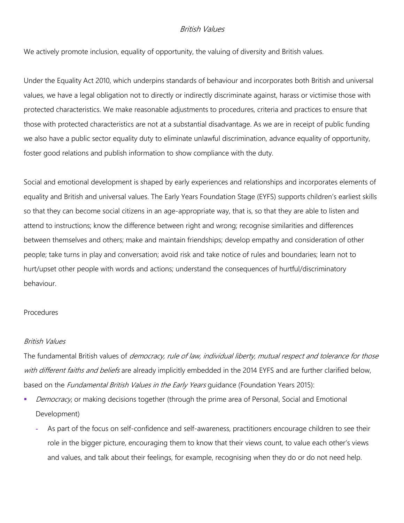## British Values

We actively promote inclusion, equality of opportunity, the valuing of diversity and British values.

Under the Equality Act 2010, which underpins standards of behaviour and incorporates both British and universal values, we have a legal obligation not to directly or indirectly discriminate against, harass or victimise those with protected characteristics. We make reasonable adjustments to procedures, criteria and practices to ensure that those with protected characteristics are not at a substantial disadvantage. As we are in receipt of public funding we also have a public sector equality duty to eliminate unlawful discrimination, advance equality of opportunity, foster good relations and publish information to show compliance with the duty.

Social and emotional development is shaped by early experiences and relationships and incorporates elements of equality and British and universal values. The Early Years Foundation Stage (EYFS) supports children's earliest skills so that they can become social citizens in an age-appropriate way, that is, so that they are able to listen and attend to instructions; know the difference between right and wrong; recognise similarities and differences between themselves and others; make and maintain friendships; develop empathy and consideration of other people; take turns in play and conversation; avoid risk and take notice of rules and boundaries; learn not to hurt/upset other people with words and actions; understand the consequences of hurtful/discriminatory behaviour.

#### Procedures

### British Values

The fundamental British values of *democracy, rule of law, individual liberty, mutual respect and tolerance for those* with different faiths and beliefs are already implicitly embedded in the 2014 EYFS and are further clarified below, based on the *Fundamental British Values in the Early Years* guidance (Foundation Years 2015):

- Democracy, or making decisions together (through the prime area of Personal, Social and Emotional Development)
	- **-** As part of the focus on self-confidence and self-awareness, practitioners encourage children to see their role in the bigger picture, encouraging them to know that their views count, to value each other's views and values, and talk about their feelings, for example, recognising when they do or do not need help.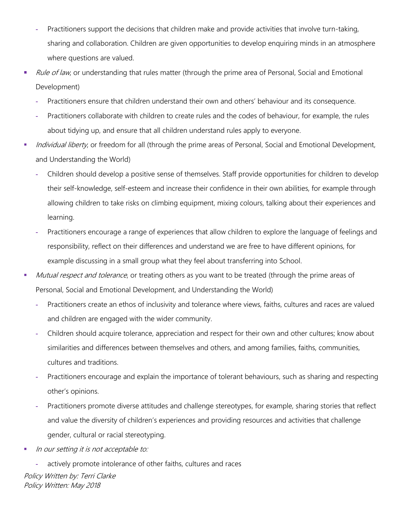- **-** Practitioners support the decisions that children make and provide activities that involve turn-taking, sharing and collaboration. Children are given opportunities to develop enquiring minds in an atmosphere where questions are valued.
- Rule of law, or understanding that rules matter (through the prime area of Personal, Social and Emotional Development)
	- **-** Practitioners ensure that children understand their own and others' behaviour and its consequence.
	- **-** Practitioners collaborate with children to create rules and the codes of behaviour, for example, the rules about tidying up, and ensure that all children understand rules apply to everyone.
- Individual liberty, or freedom for all (through the prime areas of Personal, Social and Emotional Development, and Understanding the World)
	- **-** Children should develop a positive sense of themselves. Staff provide opportunities for children to develop their self-knowledge, self-esteem and increase their confidence in their own abilities, for example through allowing children to take risks on climbing equipment, mixing colours, talking about their experiences and learning.
	- **-** Practitioners encourage a range of experiences that allow children to explore the language of feelings and responsibility, reflect on their differences and understand we are free to have different opinions, for example discussing in a small group what they feel about transferring into School.
- Mutual respect and tolerance, or treating others as you want to be treated (through the prime areas of Personal, Social and Emotional Development, and Understanding the World)
	- **-** Practitioners create an ethos of inclusivity and tolerance where views, faiths, cultures and races are valued and children are engaged with the wider community.
	- **-** Children should acquire tolerance, appreciation and respect for their own and other cultures; know about similarities and differences between themselves and others, and among families, faiths, communities, cultures and traditions.
	- **-** Practitioners encourage and explain the importance of tolerant behaviours, such as sharing and respecting other's opinions.
	- **-** Practitioners promote diverse attitudes and challenge stereotypes, for example, sharing stories that reflect and value the diversity of children's experiences and providing resources and activities that challenge gender, cultural or racial stereotyping.
- In our setting it is not acceptable to:
- Policy Written by: Terri Clarke Policy Written: May 2018 **-** actively promote intolerance of other faiths, cultures and races